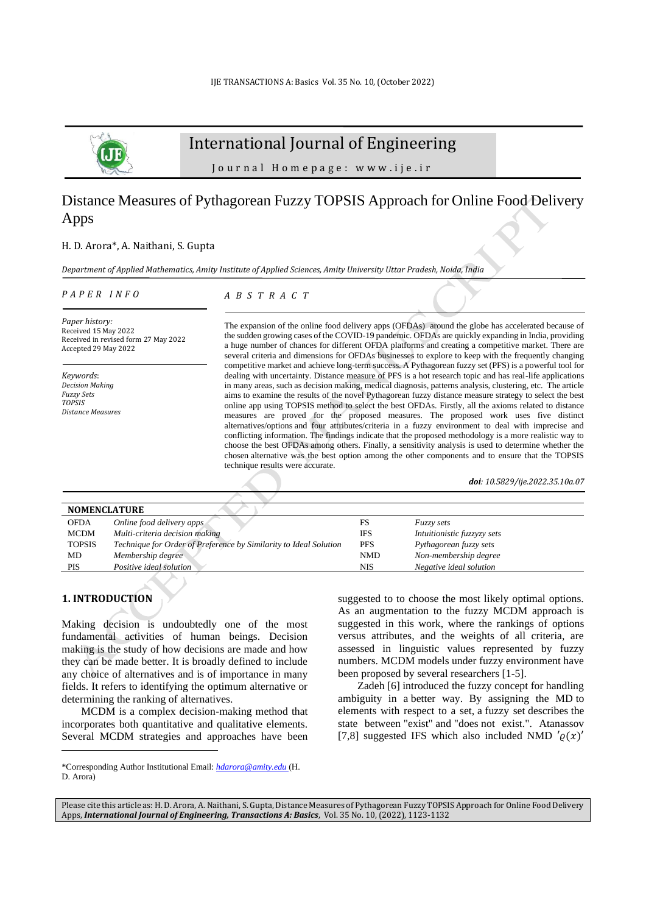

# International Journal of Engineering

J o u r n a l H o m e p a g e : w w w . i j e . i r

# Distance Measures of Pythagorean Fuzzy TOPSIS Approach for Online Food Delivery Apps

## H. D. Arora\*, A. Naithani, S. Gupta

*Department of Applied Mathematics, Amity Institute of Applied Sciences, Amity University Uttar Pradesh, Noida, India*

#### *P A P E R I N F O*

*A B S T R A C T*

*Paper history:* Received 15 May 2022 Received in revised form 27 May 2022 Accepted 29 May 2022

*Keywords*: *Decision Making Fuzzy Sets TOPSIS Distance Measures*  The expansion of the online food delivery apps (OFDAs) around the globe has accelerated because of the sudden growing cases of the COVID-19 pandemic. OFDAs are quickly expanding in India, providing a huge number of chances for different OFDA platforms and creating a competitive market. There are several criteria and dimensions for OFDAs businesses to explore to keep with the frequently changing competitive market and achieve long-term success. A Pythagorean fuzzy set (PFS) is a powerful tool for dealing with uncertainty. Distance measure of PFS is a hot research topic and has real-life applications in many areas, such as decision making, medical diagnosis, patterns analysis, clustering, etc. The article aims to examine the results of the novel Pythagorean fuzzy distance measure strategy to select the best online app using TOPSIS method to select the best OFDAs. Firstly, all the axioms related to distance measures are proved for the proposed measures. The proposed work uses five distinct alternatives/options and four attributes/criteria in a fuzzy environment to deal with imprecise and conflicting information. The findings indicate that the proposed methodology is a more realistic way to choose the best OFDAs among others. Finally, a sensitivity analysis is used to determine whether the chosen alternative was the best option among the other components and to ensure that the TOPSIS technique results were accurate.

*doi: 10.5829/ije.2022.35.10a.07*

| <b>NOMENCLATURE</b> |                                                                   |            |                             |  |  |  |  |
|---------------------|-------------------------------------------------------------------|------------|-----------------------------|--|--|--|--|
| <b>OFDA</b>         | Online food delivery apps                                         | FS         | <i>Fuzzy sets</i>           |  |  |  |  |
| <b>MCDM</b>         | Multi-criteria decision making                                    | <b>IFS</b> | Intuitionistic fuzzyzy sets |  |  |  |  |
| <b>TOPSIS</b>       | Technique for Order of Preference by Similarity to Ideal Solution | <b>PFS</b> | Pythagorean fuzzy sets      |  |  |  |  |
| MD                  | Membership degree                                                 | <b>NMD</b> | Non-membership degree       |  |  |  |  |
| <b>PIS</b>          | Positive ideal solution                                           | NIS        | Negative ideal solution     |  |  |  |  |

# **1. INTRODUCTION<sup>1</sup>**

Making decision is undoubtedly one of the most fundamental activities of human beings. Decision making is the study of how decisions are made and how they can be made better. It is broadly defined to include any choice of alternatives and is of importance in many fields. It refers to identifying the optimum alternative or determining the ranking of alternatives.

MCDM is a complex decision-making method that incorporates both quantitative and qualitative elements. Several MCDM strategies and approaches have been suggested to to choose the most likely optimal options. As an augmentation to the fuzzy MCDM approach is suggested in this work, where the rankings of options versus attributes, and the weights of all criteria, are assessed in linguistic values represented by fuzzy numbers. MCDM models under fuzzy environment have been proposed by several researchers [1-5].

Zadeh [6] introduced the fuzzy concept for handling ambiguity in a better way. By assigning the MD to elements with respect to a set, a fuzzy set describes the state between "exist" and "does not exist.". Atanassov [7,8] suggested IFS which also included NMD  $'(\rho(x))'$ 

<sup>\*</sup>Corresponding Author Institutional Email: *[hdarora@amity.edu](mailto:hdarora@amity.edu)* (H. D. Arora)

Please cite this article as: H. D. Arora, A. Naithani, S. Gupta, Distance Measures of Pythagorean Fuzzy TOPSIS Approach for Online Food Delivery Apps, *International Journal of Engineering, Transactions A: Basics*, Vol. 35 No. 10, (2022), 1123-1132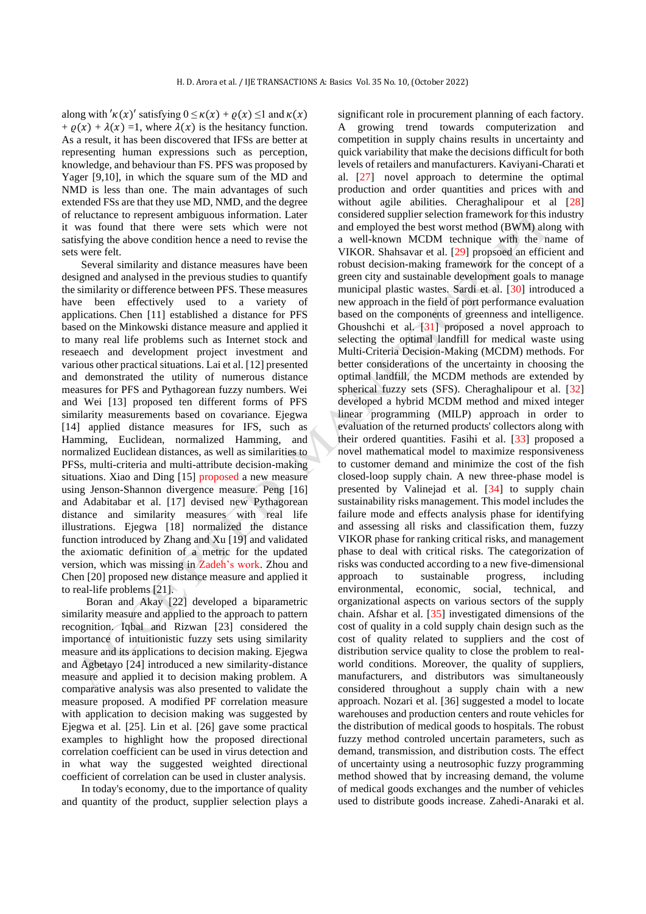along with  $'\kappa(x)'$  satisfying  $0 \leq \kappa(x) + \varrho(x) \leq 1$  and  $\kappa(x)$ +  $\rho(x)$  +  $\lambda(x)$  =1, where  $\lambda(x)$  is the hesitancy function. As a result, it has been discovered that IFSs are better at representing human expressions such as perception, knowledge, and behaviour than FS. PFS was proposed by Yager [9,10], in which the square sum of the MD and NMD is less than one. The main advantages of such extended FSs are that they use MD, NMD, and the degree of reluctance to represent ambiguous information. Later it was found that there were sets which were not satisfying the above condition hence a need to revise the sets were felt.

Several similarity and distance measures have been designed and analysed in the previous studies to quantify the similarity or difference between PFS. These measures have been effectively used to a variety of applications. Chen [11] established a distance for PFS based on the Minkowski distance measure and applied it to many real life problems such as Internet stock and reseaech and development project investment and various other practical situations. Lai et al. [12] presented and demonstrated the utility of numerous distance measures for PFS and Pythagorean fuzzy numbers. Wei and Wei [13] proposed ten different forms of PFS similarity measurements based on covariance. Ejegwa [14] applied distance measures for IFS, such as Hamming, Euclidean, normalized Hamming, and normalized Euclidean distances, as well as similarities to PFSs, multi-criteria and multi-attribute decision-making situations. Xiao and Ding [15] proposed a new measure using Jenson-Shannon divergence measure. Peng [16] and Adabitabar et al. [17] devised new Pythagorean distance and similarity measures with real life illustrations. Ejegwa [18] normalized the distance function introduced by Zhang and Xu [19] and validated the axiomatic definition of a metric for the updated version, which was missing in Zadeh's work. Zhou and Chen [20] proposed new distance measure and applied it to real-life problems [21].

Boran and Akay [22] developed a biparametric similarity measure and applied to the approach to pattern recognition. Iqbal and Rizwan [23] considered the importance of intuitionistic fuzzy sets using similarity measure and its applications to decision making. Ejegwa and Agbetayo [24] introduced a new similarity-distance measure and applied it to decision making problem. A comparative analysis was also presented to validate the measure proposed. A modified PF correlation measure with application to decision making was suggested by Ejegwa et al. [25]. Lin et al. [26] gave some practical examples to highlight how the proposed directional correlation coefficient can be used in virus detection and in what way the suggested weighted directional coefficient of correlation can be used in cluster analysis.

In today's economy, due to the importance of quality and quantity of the product, supplier selection plays a significant role in procurement planning of each factory. A growing trend towards computerization and competition in supply chains results in uncertainty and quick variability that make the decisions difficult for both levels of retailers and manufacturers. Kaviyani-Charati et al. [27] novel approach to determine the optimal production and order quantities and prices with and without agile abilities. Cheraghalipour et al [28] considered supplier selection framework for this industry and employed the best worst method (BWM) along with a well-known MCDM technique with the name of VIKOR. Shahsavar et al. [29] propsoed an efficient and robust decision-making framework for the concept of a green city and sustainable development goals to manage municipal plastic wastes. Sardi et al. [30] introduced a new approach in the field of port performance evaluation based on the components of greenness and intelligence. Ghoushchi et al. [31] proposed a novel approach to selecting the optimal landfill for medical waste using Multi-Criteria Decision-Making (MCDM) methods. For better considerations of the uncertainty in choosing the optimal landfill, the MCDM methods are extended by spherical fuzzy sets (SFS). Cheraghalipour et al. [32] developed a hybrid MCDM method and mixed integer linear programming (MILP) approach in order to evaluation of the returned products' collectors along with their ordered quantities. Fasihi et al. [33] proposed a novel mathematical model to maximize responsiveness to customer demand and minimize the cost of the fish closed-loop supply chain. A new three-phase model is presented by Valinejad et al. [34] to supply chain sustainability risks management. This model includes the failure mode and effects analysis phase for identifying and assessing all risks and classification them, fuzzy VIKOR phase for ranking critical risks, and management phase to deal with critical risks. The categorization of risks was conducted according to a new five-dimensional approach to sustainable progress, including environmental, economic, social, technical, and organizational aspects on various sectors of the supply chain. Afshar et al. [35] investigated dimensions of the cost of quality in a cold supply chain design such as the cost of quality related to suppliers and the cost of distribution service quality to close the problem to realworld conditions. Moreover, the quality of suppliers, manufacturers, and distributors was simultaneously considered throughout a supply chain with a new approach. Nozari et al. [36] suggested a model to locate warehouses and production centers and route vehicles for the distribution of medical goods to hospitals. The robust fuzzy method controled uncertain parameters, such as demand, transmission, and distribution costs. The effect of uncertainty using a neutrosophic fuzzy programming method showed that by increasing demand, the volume of medical goods exchanges and the number of vehicles used to distribute goods increase. Zahedi-Anaraki et al.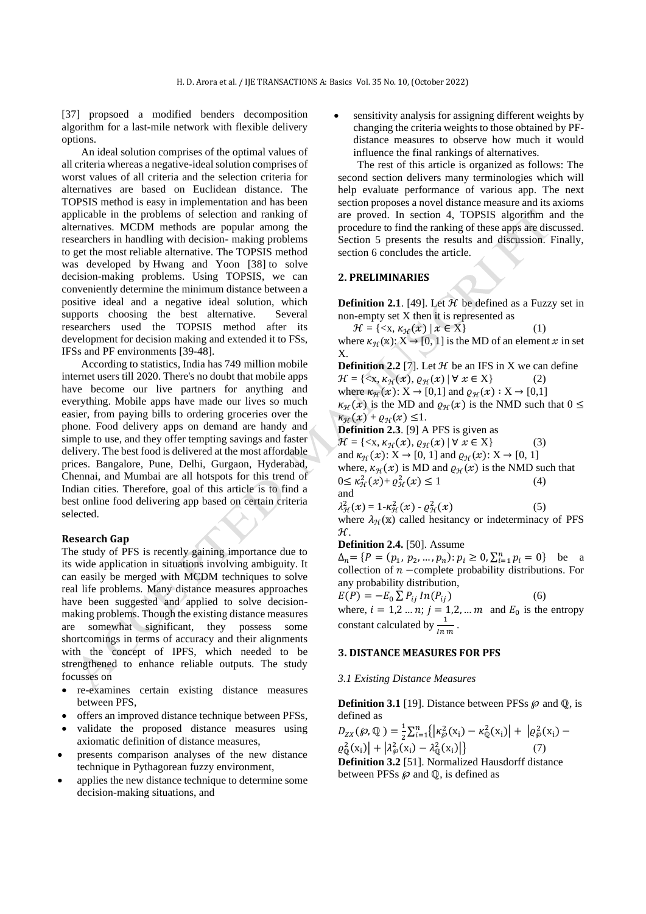[37] propsoed a modified benders decomposition algorithm for a last-mile network with flexible delivery options.

An ideal solution comprises of the optimal values of all criteria whereas a negative-ideal solution comprises of worst values of all criteria and the selection criteria for alternatives are based on Euclidean distance. The TOPSIS method is easy in implementation and has been applicable in the problems of selection and ranking of alternatives. MCDM methods are popular among the researchers in handling with decision- making problems to get the most reliable alternative. The TOPSIS method was developed by Hwang and Yoon [38] to solve decision-making problems. Using TOPSIS, we can conveniently determine the minimum distance between a positive ideal and a negative ideal solution, which supports choosing the best alternative. Several researchers used the TOPSIS method after its development for decision making and extended it to FSs, IFSs and PF environments [39-48].

According to statistics, India has 749 million mobile internet users till 2020. There's no doubt that mobile apps have become our live partners for anything and everything. Mobile apps have made our lives so much easier, from paying bills to ordering groceries over the phone. Food delivery apps on demand are handy and simple to use, and they offer tempting savings and faster delivery. The best food is delivered at the most affordable prices. Bangalore, Pune, Delhi, Gurgaon, Hyderabad, Chennai, and Mumbai are all hotspots for this trend of Indian cities. Therefore, goal of this article is to find a best online food delivering app based on certain criteria selected.

# **Research Gap**

The study of PFS is recently gaining importance due to its wide application in situations involving ambiguity. It can easily be merged with MCDM techniques to solve real life problems*.* Many distance measures approaches have been suggested and applied to solve decisionmaking problems. Though the existing distance measures are somewhat significant, they possess some shortcomings in terms of accuracy and their alignments with the concept of IPFS, which needed to be strengthened to enhance reliable outputs. The study focusses on

- re-examines certain existing distance measures between PFS,
- offers an improved distance technique between PFSs,
- validate the proposed distance measures using axiomatic definition of distance measures,
- presents comparison analyses of the new distance technique in Pythagorean fuzzy environment,
- applies the new distance technique to determine some decision-making situations, and

sensitivity analysis for assigning different weights by changing the criteria weights to those obtained by PFdistance measures to observe how much it would influence the final rankings of alternatives.

The rest of this article is organized as follows: The second section delivers many terminologies which will help evaluate performance of various app. The next section proposes a novel distance measure and its axioms are proved. In section 4, TOPSIS algorithm and the procedure to find the ranking of these apps are discussed. Section 5 presents the results and discussion. Finally, section 6 concludes the article.

## **2. PRELIMINARIES**

**Definition 2.1**. [49]. Let  $H$  be defined as a Fuzzy set in non-empty set X then it is represented as

 $\mathcal{H} = \{ \langle x, \kappa_{\mathcal{H}}(x) | x \in X \}$  (1) where  $\kappa_{\mathcal{H}}(\mathbf{x})$ :  $X \to [0, 1]$  is the MD of an element  $x$  in set X.

**Definition 2.2** [7]. Let  $H$  be an IFS in X we can define  $\mathcal{H} = \{ \langle x, \kappa_{\mathcal{H}}(x), \varrho_{\mathcal{H}}(x) | \forall x \in X \}$  (2) where  $\kappa_{\mathcal{H}}(x): X \to [0,1]$  and  $\varrho_{\mathcal{H}}(x): X \to [0,1]$  $\kappa_{\mathcal{H}}(x)$  is the MD and  $\varrho_{\mathcal{H}}(x)$  is the NMD such that  $0 \leq$  $\kappa_{\mathcal{H}}(x) + \varrho_{\mathcal{H}}(x) \leq 1.$ **Definition 2.3**. [9] A PFS is given as

 $\mathcal{H} = \{ \langle x, \kappa_{\mathcal{H}}(x), \varrho_{\mathcal{H}}(x) | \forall x \in X \}$  (3) and  $\kappa_{\mathcal{H}}(x): X \to [0, 1]$  and  $\varrho_{\mathcal{H}}(x): X \to [0, 1]$ where,  $\kappa_{\mathcal{H}}(x)$  is MD and  $\varrho_{\mathcal{H}}(x)$  is the NMD such that<br>  $0 \le \kappa_{\mathcal{H}}^2(x) + \varrho_{\mathcal{H}}^2(x) \le 1$  (4)  $0 \le \kappa_H^2(x) + \varrho_H^2(x) \le 1$  (4) and

$$
\lambda^2_{\mathcal{H}}(x) = 1 \text{-} \kappa^2_{\mathcal{H}}(x) \text{-} \varrho^2_{\mathcal{H}}(x)
$$

where  $\lambda_{\mathcal{H}}(\mathbf{x})$  called hesitancy or indeterminacy of PFS ℋ.

 $(5)$ 

## **Definition 2.4.** [50]. Assume

 $\Delta_n = \{ P = (p_1, p_2, ..., p_n) : p_i \ge 0, \sum_{i=1}^n p_i = 0 \}$  be a collection of  $n$  –complete probability distributions. For any probability distribution,

 $E(P) = -E_0 \sum P_{ij} ln(P_{ij})$  (6) where,  $i = 1, 2, ..., n; j = 1, 2, ..., m$  and  $E_0$  is the entropy constant calculated by  $\frac{1}{\ln m}$ .

## **3. DISTANCE MEASURES FOR PFS**

### *3.1 Existing Distance Measures*

**Definition 3.1** [19]. Distance between PFSs  $\wp$  and  $\mathbb{Q}$ , is defined as

$$
D_{ZX}(\varphi, \mathbb{Q}) = \frac{1}{2} \sum_{i=1}^{n} \{ \left| \kappa_{\varphi}^{2}(x_{i}) - \kappa_{\mathbb{Q}}^{2}(x_{i}) \right| + \left| \varrho_{\varphi}^{2}(x_{i}) - \varrho_{\mathbb{Q}}^{2}(x_{i}) \right| + \left| \lambda_{\varphi}^{2}(x_{i}) - \lambda_{\mathbb{Q}}^{2}(x_{i}) \right| \}
$$
\n*Definition 3.2* [51]. Normalized Hausdorff distance between PFSs  $\varphi$  and  $\mathbb{Q}$ , is defined as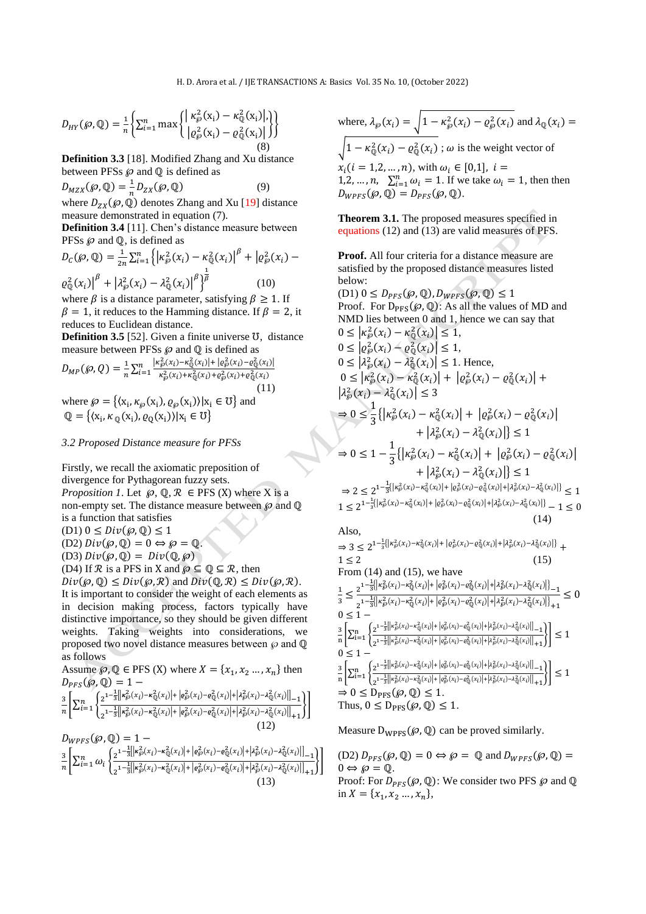$$
D_{HY}(\wp, \mathbb{Q}) = \frac{1}{n} \left\{ \sum_{i=1}^n \max \left\{ \left| \frac{\kappa_{\wp}^2(x_i) - \kappa_{\mathbb{Q}}^2(x_i)}{\left| \rho_{\wp}^2(x_i) - \rho_{\mathbb{Q}}^2(x_i) \right|} \right\} \right\}
$$
(8)

**Definition 3.3** [18]. Modified Zhang and Xu distance between PFSs  $\wp$  and  $\mathbb Q$  is defined as

 $D_{MZX}(\mathcal{P}, \mathbb{Q}) = \frac{1}{n}$  $\frac{1}{n}D_{ZX}(\wp, \mathbb{Q})$  (9) where  $D_{ZX}(\varphi, \ddot{\mathbb{Q}})$  denotes Zhang and Xu [19] distance

measure demonstrated in equation (7).

**Definition 3.4** [11]. Chen's distance measure between PFSs  $\wp$  and  $\mathbb{Q}$ , is defined as

$$
D_C(\mathcal{G}, \mathbb{Q}) = \frac{1}{2n} \sum_{i=1}^n \left\{ \left| \kappa_{\mathcal{G}}^2(x_i) - \kappa_{\mathbb{Q}}^2(x_i) \right|^{\beta} + \left| \varrho_{\mathcal{G}}^2(x_i) - \varrho_{\mathbb{Q}}^2(x_i) \right|^{\beta} + \left| \lambda_{\mathcal{G}}^2(x_i) - \lambda_{\mathbb{Q}}^2(x_i) \right|^{\beta} \right\}^{\frac{1}{\beta}} \qquad (10)
$$

where  $\beta$  is a distance parameter, satisfying  $\beta \geq 1$ . If  $\beta = 1$ , it reduces to the Hamming distance. If  $\beta = 2$ , it reduces to Euclidean distance.

**Definition 3.5** [52]. Given a finite universe ℧, distance measure between PFSs  $\wp$  and  $\mathbb Q$  is defined as

$$
D_{MP}(\mathcal{D}, Q) = \frac{1}{n} \sum_{i=1}^{n} \frac{|\kappa_{\mathcal{D}}^2(x_i) - \kappa_{\mathbb{Q}}^2(x_i)| + |\varrho_{\mathcal{D}}^2(x_i) - \varrho_{\mathbb{Q}}^2(x_i)|}{\kappa_{\mathcal{D}}^2(x_i) + \kappa_{\mathbb{Q}}^2(x_i) + \varrho_{\mathcal{D}}^2(x_i) + \varrho_{\mathbb{Q}}^2(x_i)}
$$
\n(11)

where  $\wp = \{ \langle x_i, \kappa_{\wp}(x_i), \varrho_{\wp}(x_i) \rangle | x_i \in U \}$  and  $\mathbb{Q} = \{ \langle x_i, \kappa_{\mathbb{Q}}(x_i), \varrho_{\mathbb{Q}}(x_i) \rangle | x_i \in \mathbb{U} \}$ 

# *3.2 Proposed Distance measure for PFSs*

Firstly, we recall the axiomatic preposition of divergence for Pythagorean fuzzy sets. *Proposition 1*. Let  $\wp$ ,  $\mathbb{Q}, \mathcal{R} \in \text{PFS}$  (X) where X is a non-empty set. The distance measure between  $\wp$  and  $\mathbb Q$ is a function that satisfies  $(D1)$   $0 \leq Div(\varphi,\mathbb{Q}) \leq 1$ (D2)  $Div(\wp, \mathbb{Q}) = 0 \Leftrightarrow \wp = \mathbb{Q}$ . (D3)  $Div(\wp, \mathbb{Q}) = Div(\mathbb{Q}, \wp)$ (D4) If  $\mathcal R$  is a PFS in X and  $\wp \subseteq \mathbb Q \subseteq \mathcal R$ , then  $Div(\varphi, \mathbb{Q}) \le Div(\varphi, \mathbb{R})$  and  $Div(\mathbb{Q}, \mathbb{R}) \le Div(\varphi, \mathbb{R}).$ It is important to consider the weight of each elements as

in decision making process, factors typically have distinctive importance, so they should be given different weights. Taking weights into considerations, we proposed two novel distance measures between  $\wp$  and  $\mathbb Q$ as follows

Assume 
$$
\wp
$$
,  $\mathbb{Q} \in \text{PFS (X)}$  where  $X = \{x_1, x_2, ..., x_n\}$  then  
\n
$$
D_{PFS}(\wp, \mathbb{Q}) = 1 - \frac{3}{n \left[ \sum_{i=1}^n \left\{ \frac{2^{1-\frac{1}{3}} \left| |\kappa_{\wp}^2(x_i) - \kappa_{\mathbb{Q}}^2(x_i)| + |\varrho_{\wp}^2(x_i) - \varrho_{\mathbb{Q}}^2(x_i)| + |\lambda_{\wp}^2(x_i) - \lambda_{\mathbb{Q}}^2(x_i)| \right| \right] - 1}{n \left[ \sum_{i=1}^n \left\{ \frac{2^{1-\frac{1}{3}} \left| |\kappa_{\wp}^2(x_i) - \kappa_{\mathbb{Q}}^2(x_i)| + |\varrho_{\wp}^2(x_i) - \varrho_{\mathbb{Q}}^2(x_i)| + |\lambda_{\wp}^2(x_i) - \lambda_{\mathbb{Q}}^2(x_i)| \right| \right] \right\}}
$$
\n(12)  
\n
$$
D_{WPFS}(\wp, \mathbb{Q}) = 1 - \frac{3}{n \left[ \sum_{i=1}^n \omega_i \left\{ \frac{2^{1-\frac{1}{3}} \left| |\kappa_{\wp}^2(x_i) - \kappa_{\mathbb{Q}}^2(x_i)| + |\varrho_{\wp}^2(x_i) - \varrho_{\mathbb{Q}}^2(x_i)| + |\lambda_{\wp}^2(x_i) - \lambda_{\mathbb{Q}}^2(x_i)| \right| \right] \right\}}
$$
\n(13)

where,  $\lambda_{\wp}(x_i) = \sqrt{1 - \kappa_{\wp}^2(x_i) - \varrho_{\wp}^2(x_i)}$  and  $\lambda_{\mathbb{Q}}(x_i) =$  $\sqrt{1 - \kappa_{\mathbb{Q}}^2(x_i) - \varrho_{\mathbb{Q}}^2(x_i)}$ ;  $\omega$  is the weight vector of  $x_i$  (*i* = 1,2, ..., *n*), with  $\omega_i \in [0,1]$ , *i* = 1,2, ..., n,  $\sum_{i=1}^{n} \omega_i = 1$ . If we take  $\omega_i = 1$ , then then  $D_{WPFS}(\mathcal{P}, \mathbb{Q}) = D_{PFS}(\mathcal{P}, \mathbb{Q}).$ 

**Theorem 3.1.** The proposed measures specified in equations (12) and (13) are valid measures of PFS.

**Proof.** All four criteria for a distance measure are satisfied by the proposed distance measures listed below:

 $(D1)$   $0 \leq D_{PFS}(\mathcal{P}, \mathbb{Q}), D_{WPFS}(\mathcal{P}, \mathbb{Q}) \leq 1$ Proof. For  $D_{PFS}(\mathcal{P}, \mathbb{Q})$ : As all the values of MD and NMD lies between 0 and 1, hence we can say that  $0 \leq |\kappa_{\varphi}^2(x_i) - \kappa_{\mathbb{Q}}^2(x_i)| \leq 1,$  $0 \leq | \varrho_{\varphi}^2(x_i) - \varrho_{\mathbb{Q}}^2(x_i) | \leq 1,$  $0 \leq \left| \lambda_{\varphi}^2(x_i) - \lambda_{\mathbb{Q}}^2(x_i) \right| \leq 1$ . Hence,  $0 \leq |\kappa_{\wp}^2(x_i) - \kappa_{\mathbb{Q}}^2(x_i)| + |\varrho_{\wp}^2(x_i) - \varrho_{\mathbb{Q}}^2(x_i)| +$  $\left|\lambda_{\wp}^2(x_i) - \lambda_{\mathbb{Q}}^2(x_i)\right| \leq 3$  $\Rightarrow 0 \leq \frac{1}{2}$  $\frac{1}{3} \{| \kappa_{\varphi}^2(x_i) - \kappa_{\mathbb{Q}}^2(x_i) | + | \varrho_{\varphi}^2(x_i) - \varrho_{\mathbb{Q}}^2(x_i) |$  $+ \left| \lambda_{\wp}^2(x_i) - \lambda_{\mathbb{Q}}^2(x_i) \right| \leq 1$  $\Rightarrow 0 \leq 1 - \frac{1}{2}$  $\frac{1}{3} \{| \kappa_{\varphi}^2(x_i) - \kappa_{\mathbb{Q}}^2(x_i) | + | \varrho_{\varphi}^2(x_i) - \varrho_{\mathbb{Q}}^2(x_i) |$  $+ \left| \lambda_{\varphi}^2(x_i) - \lambda_{\mathbb{Q}}^2(x_i) \right| \leq 1$  $\Rightarrow 2 \leq 2^{1-\frac{1}{3}(|\kappa_{\wp}^2(x_i)-\kappa_{\mathbb{Q}}^2(x_i)|+|\varrho_{\wp}^2(x_i)-\varrho_{\mathbb{Q}}^2(x_i)|+|\lambda_{\wp}^2(x_i)-\lambda_{\mathbb{Q}}^2(x_i)|\}} \leq 1$  $1 \leq 2^{1-\frac{1}{3}(|\kappa_{\wp}^2(x_i)-\kappa_{\mathbb{Q}}^2(x_i)|+|\varrho_{\wp}^2(x_i)-\varrho_{\mathbb{Q}}^2(x_i)|+|\lambda_{\wp}^2(x_i)-\lambda_{\mathbb{Q}}^2(x_i)|]}-1 \leq 0$ (14) Also,

$$
11.50, \quad \omega_{\psi}(x_{i}) = \frac{1}{2} \left\{ |z_{\psi}^{2}(x_{i}) - \kappa_{\psi}^{2}(x_{i})| + | \varrho_{\psi}^{2}(x_{i}) - \varrho_{\psi}^{2}(x_{i})| + | \lambda_{\psi}^{2}(x_{i}) - \lambda_{\psi}^{2}(x_{i})| \right\} + \frac{1 \leq 2}{2} \quad (15)
$$
\n
$$
11 \leq 2 \quad (15)
$$
\n
$$
12 \leq 2 \quad (17)
$$
\n
$$
\frac{1}{3} \leq \frac{2^{1-\frac{1}{3}\left\{\left|k_{\psi}^{2}(x_{i}) - \kappa_{\psi}^{2}(x_{i})\right| + \left|\varrho_{\psi}^{2}(x_{i}) - \varrho_{\psi}^{2}(x_{i})\right| + \left|\lambda_{\psi}^{2}(x_{i}) - \lambda_{\psi}^{2}(x_{i})\right|\right\}}{2^{1-\frac{1}{3}\left\{\left|k_{\psi}^{2}(x_{i}) - \kappa_{\psi}^{2}(x_{i})\right| + \left|\varrho_{\psi}^{2}(x_{i}) - \varrho_{\psi}^{2}(x_{i})\right| + \left|\lambda_{\psi}^{2}(x_{i}) - \lambda_{\psi}^{2}(x_{i})\right|\right\}} + \frac{1}{2} \leq 0
$$
\n
$$
0 \leq 1 - \frac{1}{\ln \left\{\sum_{i=1}^{n} \left\{\frac{2^{1-\frac{1}{3}\left\|\kappa_{\psi}^{2}(x_{i}) - \kappa_{\psi}^{2}(x_{i})\right| + \left|\varrho_{\psi}^{2}(x_{i}) - \varrho_{\psi}^{2}(x_{i})\right| + \left|\lambda_{\psi}^{2}(x_{i}) - \lambda_{\psi}^{2}(x_{i})\right|\right\}}{2}\right\}} \leq 1 - \frac{1}{\ln \left\{\sum_{i=1}^{n} \left\{\frac{2^{1-\frac{1}{3}\left\|\kappa_{\psi}^{2}(x_{i}) - \kappa_{\psi}^{2}(x_{i})\right| + \left|\varrho_{\psi}^{2}(x_{i}) - \varrho_{\psi}^{2}(x_{i})\right| + \left|\lambda_{\psi}^{2}(x_{i}) - \lambda_{\psi}^{2}(x_{i
$$

Measure  $D_{WPFS}(\varphi, \mathbb{Q})$  can be proved similarly.

(D2)  $D_{PFS}(\mathcal{P}, \mathbb{Q}) = 0 \Leftrightarrow \mathcal{P} = \mathbb{Q}$  and  $D_{WPFS}(\mathcal{P}, \mathbb{Q}) =$  $0 \Leftrightarrow \varnothing = \mathbb{Q}$ . Proof: For  $D_{PFS}(\varphi, \mathbb{Q})$ : We consider two PFS  $\varphi$  and  $\mathbb{Q}$ in  $X = \{x_1, x_2, ..., x_n\},\$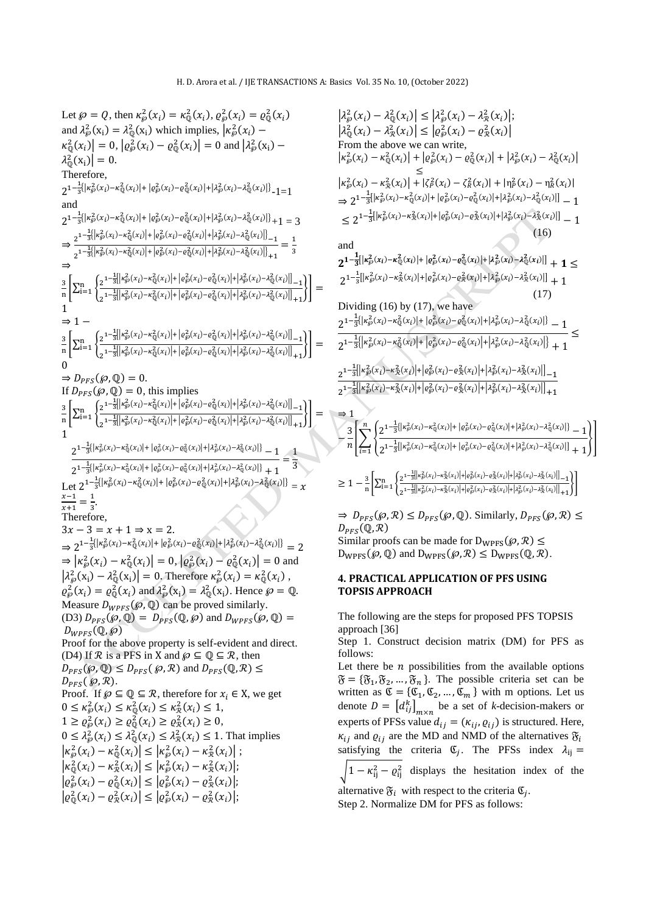#### H. D. Arora et al. / IJE TRANSACTIONS A: Basics Vol. 35 No. 10, (October 2022)

Let  $\wp = Q$ , then  $\kappa_{\wp}^2(x_i) = \kappa_{\mathbb{Q}}^2(x_i)$ ,  $\varrho_{\wp}^2(x_i) = \varrho_{\mathbb{Q}}^2(x_i)$ and  $\lambda_{\varphi}^2(x_i) = \lambda_{\mathbb{Q}}^2(x_i)$  which implies,  $\left|\kappa_{\varphi}^2(x_i) - \right|$  $\kappa_{\mathbb{Q}}^2(x_i) = 0, |\varrho_{\mathcal{P}}^2(x_i) - \varrho_{\mathbb{Q}}^2(x_i)| = 0 \text{ and } |\lambda_{\mathcal{P}}^2(x_i) - \lambda_{\mathbb{Q}}^2(x_i)|$  $\lambda_{\mathbb{Q}}^2(\mathbf{x_i})\big| = 0.$ Therefore,  $2^{1-\frac{1}{3}\left(|\kappa_\varphi^2(x_i)-\kappa_\mathbb{Q}^2(x_i)|+ \left| \varrho^2_\varphi(x_i)-\varrho^2_\mathbb{Q}(x_i) \right| + \left| \lambda^2_\varphi(x_i)-\lambda^2_\mathbb{Q}(x_i) \right| \right)} -1 = 1$ and  $2^{1-\frac{1}{3}(|\kappa_{\wp}^2(x_i)-\kappa_{\mathbb{Q}}^2(x_i)|+|\varrho_{\wp}^2(x_i)-\varrho_{\mathbb{Q}}^2(x_i)|+|\lambda_{\wp}^2(x_i)-\lambda_{\mathbb{Q}}^2(x_i)|\}}+1=3$ ⇒  $\label{eq:2} 2^{1-\frac{1}{3}\left|\left|\kappa^2_\wp(x_i)-\kappa^2_\mathbb{Q}(x_i)\right|+\left|\varrho^2_\wp(x_i)-\varrho^2_\mathbb{Q}(x_i)\right|+\left|\lambda^2_\wp(x_i)-\lambda^2_\mathbb{Q}(x_i)\right|\right)}-1}$  $\label{eq:z_1} \frac{1}{2} \frac{1-\frac{1}{3} \left|\left|\kappa^2_\wp(x_i)-\kappa^2_\mathbb{Q}(x_i)\right|+\left|\varrho^2_\wp(x_i)-\varrho^2_\mathbb{Q}(x_i)\right| + \left|\lambda^2_\wp(x_i)-\lambda^2_\mathbb{Q}(x_i)\right|\right)}{1+\frac{1}{3} \left|\left|\kappa^2_\wp(x_i)-\kappa^2_\mathbb{Q}(x_i)\right|\right|}$  $=\frac{1}{2}$ 3 ⇒ 3  $\frac{3}{n}$  $\sum_{i=1}^{n}$  $\label{eq:2} 2^{1-\frac{1}{3}\left|\left|\kappa_{\wp}^2(x_i)-\kappa_{\mathbb{Q}}^2(x_i)\right|+\left|\varrho_{\wp}^2(x_i)-\varrho_{\mathbb{Q}}^2(x_i)\right|+\left|\lambda_{\wp}^2(x_i)-\lambda_{\mathbb{Q}}^2(x_i)\right|\right]_{-1}}$  $\label{eq:2} \frac{1-\frac{1}{3}\Bigl|\Bigl|\kappa_\wp^2(x_i)-\kappa_\mathbb{Q}^2(x_i)\Bigr|+\Bigl|\varrho_\wp^2(x_i)-\varrho_\mathbb{Q}^2(x_i)\Bigr|+\Bigl|\lambda_\wp^2(x_i)-\lambda_\mathbb{Q}^2(x_i)\Bigr|\Bigr|}{1+\frac{1}{3}}\\$  $\{\}$ 1  $\Rightarrow$  1 – 3  $\frac{3}{\ln} \left[ \sum_{i=1}^n \left\{ \frac{2^{1-\frac{1}{3}\left| \left| \kappa_{\wp}^2(x_i) - \kappa_{\mathbb{Q}}^2(x_i) \right| + \left| \varrho_{\wp}^2(x_i) - \varrho_{\mathbb{Q}}^2(x_i) \right| + \left| \lambda_{\wp}^2(x_i) - \lambda_{\mathbb{Q}}^2(x_i) \right| \right|}_{-1} \right] }{\frac{1}{\ln} \left[ \sum_{i=1}^n \left\{ \frac{2^{1-\frac{1}{3}\left| \left| \kappa_{\wp}^2(x_i) - \kappa_{\mathbb{Q}}^2(x$  $\frac{1}{2} \frac{1 - \frac{1}{3} \left| \left| \kappa_\wp^2(x_i) - \kappa_\mathbb{Q}^2(x_i) \right| + \left| \varrho_\wp^2(x_i) - \varrho_\mathbb{Q}^2(x_i) \right| + \left| \lambda_\wp^2(x_i) - \lambda_\mathbb{Q}^2(x_i) \right| \right|}{1 + 1}$  $\left| \frac{1}{1 - \frac{1}{2} \left| \frac{1}{k^2} \left( \frac{x}{k} \right) - \frac{k^2}{2} \left( \frac{x}{k} \right) \right| + \left| \frac{k}{k^2} \left( \frac{x}{k} \right) - \frac{k^2}{2} \left( \frac{k}{k^2} \right) \right| + \left| \frac{k}{2} \left( \frac{k}{k^2} \right) - \frac{k^2}{2} \left( \frac{k}{k^2} \right) \right| \right|} \right| =$ 0  $\Rightarrow D_{PFS}(\mathcal{P}, \mathbb{Q}) = 0.$ If  $D_{PFS}(\mathcal{P}, \mathbb{Q}) = 0$ , this implies 3  $\frac{3}{\ln} \left[ \sum_{i=1}^n \left\{ \frac{2^{1-\frac{1}{3}\left|\left| \kappa_{\mathcal{D}}^2(x_i) - \kappa_{\mathbb{Q}}^2(x_i) \right| + \left| \varrho_{\mathcal{D}}^2(x_i) - \varrho_{\mathbb{Q}}^2(x_i) \right| + \left| \lambda_{\mathcal{D}}^2(x_i) - \lambda_{\mathbb{Q}}^2(x_i) \right| \right|}_{-1} \right]}{\sum_{i=1}^n \left\{ \frac{2^{1-\frac{1}{3}\left|\left| \kappa_{\mathcal{D}}^2(x_i) - \kappa_{\mathbb{Q}}^2(x_i)$  $\label{eq:2} \frac{1-\frac{1}{3}\Bigl|\Bigl|\kappa_\wp^2(x_i)-\kappa_\mathbb{Q}^2(x_i)\Bigr|+\Bigl|\varrho_\wp^2(x_i)-\varrho_\mathbb{Q}^2(x_i)\Bigr|+\Bigl|\lambda_\wp^2(x_i)-\lambda_\mathbb{Q}^2(x_i)\Bigr|\Bigr|}{1+\frac{1}{3}}\\$  $\left| \frac{1}{1 - \frac{1}{2} \left| \frac{1}{2} \left( \frac{1}{x} \right) - \frac{1}{2} \left( \frac{1}{x} \right) \right| + \left| \frac{1}{2} \left( \frac{1}{x} \right) - \frac{1}{2} \left( \frac{1}{x} \right) \right| + \left| \frac{1}{2} \left( \frac{1}{x} \right) - \frac{1}{2} \left( \frac{1}{x} \right) \right| \right|} \right| = \frac{1}{2}$ 1  $2^{1-\frac{1}{3} \left\{\left|\kappa_\wp^2(x_i) - \kappa_\mathbb{Q}^2(x_i)\right| + \left|\varrho^2_\wp(x_i) - \varrho^2_\mathbb{Q}(x_i)\right| + \left|\lambda^2_\wp(x_i) - \lambda^2_\mathbb{Q}(x_i)\right|\right\}} - 1$  $\frac{1}{2^{1-\frac{1}{3}\left\{\left|\kappa_{\wp}^2(x_i)-\kappa_{\mathbb{Q}}^2(x_i)\right|+\left|\varrho_{\wp}^2(x_i)-\varrho_{\mathbb{Q}}^2(x_i)\right|+\left|\lambda_{\wp}^2(x_i)-\lambda_{\mathbb{Q}}^2(x_i)\right|\right\}}+1$  $\frac{1}{2}$ 3 Let  $2^{1-\frac{1}{3}(|\kappa_{\varphi}^2(x_i)-\kappa_{\mathbb{Q}}^2(x_i)|+|\varrho_{\varphi}^2(x_i)-\varrho_{\mathbb{Q}}^2(x_i)|+|\lambda_{\varphi}^2(x_i)-\lambda_{\mathbb{Q}}^2(x_i)|]} = x$  $x-1$  $\frac{x-1}{x+1} = \frac{1}{3}$  $\frac{1}{3}$ . Therefore,  $3x - 3 = x + 1 \Rightarrow x = 2.$  $\Rightarrow 2^{1-\frac{1}{3}(|\kappa_{\wp}^2(x_i)-\kappa_{\mathbb{Q}}^2(x_i)|+|\varrho_{\wp}^2(x_i)-\varrho_{\mathbb{Q}}^2(x_i)|+|\lambda_{\wp}^2(x_i)-\lambda_{\mathbb{Q}}^2(x_i)|} = 2$  $\Rightarrow | \kappa_{\varphi}^2(x_i) - \kappa_{\mathbb{Q}}^2(x_i) | = 0, | \varrho_{\varphi}^2(x_i) - \varrho_{\mathbb{Q}}^2(x_i) | = 0$  and  $\left|\lambda_{\varphi}^{2}(x_{i}) - \lambda_{\mathbb{Q}}^{2}(x_{i})\right| = 0$ . Therefore  $\kappa_{\varphi}^{2}(x_{i}) = \kappa_{\mathbb{Q}}^{2}(x_{i})$ ,  $\varrho_{\varphi}^2(x_i) = \varrho_{\mathbb{Q}}^2(x_i)$  and  $\lambda_{\varphi}^2(x_i) = \lambda_{\mathbb{Q}}^2(x_i)$ . Hence  $\varphi = \mathbb{Q}$ . Measure  $D_{WPFS}(\mathcal{P}, \mathbb{Q})$  can be proved similarly. (D3)  $D_{PFS}(\mathcal{P}, \mathbb{Q}) = D_{PFS}(\mathbb{Q}, \mathcal{P})$  and  $D_{WPFS}(\mathcal{P}, \mathbb{Q}) =$  $D_{WPFS}(\mathbb{Q},\wp)$ Proof for the above property is self-evident and direct. (D4) If  $\mathcal R$  is a PFS in X and  $\varphi \subseteq \mathbb Q \subseteq \mathcal R$ , then  $D_{PFS}(\mathcal{P}, \mathbb{Q}) \leq D_{PFS}(\mathcal{P}, \mathcal{R})$  and  $D_{PFS}(\mathbb{Q}, \mathcal{R}) \leq$  $D_{PFS}(\wp, \mathcal{R}).$ Proof. If  $\wp \subseteq \mathbb{Q} \subseteq \mathcal{R}$ , therefore for  $x_i \in X$ , we get  $0 \leq \kappa_{\wp}^2(x_i) \leq \kappa_{\mathbb{Q}}^2(x_i) \leq \kappa_{\mathcal{R}}^2(x_i) \leq 1,$  $1 \ge \varrho_{\wp}^2(x_i) \ge \varrho_{\mathbb{Q}}^2(x_i) \ge \varrho_{\mathcal{R}}^2(x_i) \ge 0,$  $0 \leq \lambda_{\varphi}^2(x_i) \leq \lambda_{\mathbb{Q}}^2(x_i) \leq \lambda_{\mathcal{R}}^2(x_i) \leq 1$ . That implies  $\left| \kappa_{\wp}^2(x_i) - \kappa_{\mathbb{Q}}^2(x_i) \right| \leq \left| \kappa_{\wp}^2(x_i) - \kappa_{\mathcal{R}}^2(x_i) \right|;$  $|\kappa_{\mathbb{Q}}^2(x_i) - \kappa_{\mathcal{R}}^2(x_i)| \leq |\kappa_{\mathcal{P}}^2(x_i) - \kappa_{\mathcal{R}}^2(x_i)|;$  $| \varrho_{\varphi}^2(x_i) - \varrho_{\mathbb{Q}}^2(x_i) | \le | \varrho_{\varphi}^2(x_i) - \varrho_{\mathcal{R}}^2(x_i) |;$  $| \varrho^2_{\mathbb{Q}}(x_i) - \varrho^2_{\mathcal{R}}(x_i) | \le | \varrho^2_{\mathcal{P}}(x_i) - \varrho^2_{\mathcal{R}}(x_i) |;$ 

$$
|\lambda_{\wp}^{2}(x_{i}) - \lambda_{\mathbb{Q}}^{2}(x_{i})| \leq |\lambda_{\wp}^{2}(x_{i}) - \lambda_{\mathbb{R}}^{2}(x_{i})|;
$$
\n
$$
|\lambda_{\mathbb{Q}}^{2}(x_{i}) - \lambda_{\mathbb{R}}^{2}(x_{i})| \leq |\varrho_{\wp}^{2}(x_{i}) - \varrho_{\mathbb{R}}^{2}(x_{i})|;
$$
\nFrom the above we can write,  
\n
$$
|\kappa_{\wp}^{2}(x_{i}) - \kappa_{\mathbb{Q}}^{2}(x_{i})| + |\varrho_{\wp}^{2}(x_{i}) - \varrho_{\mathbb{Q}}^{2}(x_{i})| + |\lambda_{\wp}^{2}(x_{i}) - \lambda_{\mathbb{Q}}^{2}(x_{i})|
$$
\n
$$
\leq |\kappa_{\wp}^{2}(x_{i}) - \kappa_{\mathbb{R}}^{2}(x_{i})| + |\zeta_{\rho}^{2}(x_{i}) - \zeta_{\mathbb{R}}^{2}(x_{i})| + |\eta_{\rho}^{2}(x_{i}) - \eta_{\mathbb{R}}^{2}(x_{i})|
$$
\n
$$
\Rightarrow 2^{-1-\frac{1}{3}|\kappa_{\wp}^{2}(x_{i}) - \kappa_{\mathbb{Q}}^{2}(x_{i})| + |\varrho_{\wp}^{2}(x_{i}) - \varrho_{\mathbb{Q}}^{2}(x_{i})| + |\lambda_{\wp}^{2}(x_{i}) - \lambda_{\mathbb{Q}}^{2}(x_{i})|] - 1
$$
\n
$$
\leq 2^{-1-\frac{1}{3}|\kappa_{\wp}^{2}(x_{i}) - \kappa_{\mathbb{Q}}^{2}(x_{i})| + |\varrho_{\wp}^{2}(x_{i}) - \varrho_{\mathbb{R}}^{2}(x_{i})| + |\lambda_{\wp}^{2}(x_{i}) - \lambda_{\mathbb{Q}}^{2}(x_{i})|] - 1
$$
\nand  
\n
$$
2^{-1-\frac{1}{3}|\kappa_{\wp}^{2}(x_{i}) - \kappa_{\mathbb{Q}}^{2}(x_{i})| + |\varrho_{\wp}^{2}(x_{i}) - \varrho_{\mathbb{Q}}^{2}(x_{i})| + |\lambda_{\wp}^{2}(x_{i}) - \lambda_{\mathbb{Q}}^{2}(x_{i})|] + 1 \leq 2^{-
$$

proofs can be made for  $D_{WPFS}(\mathcal{B}, \mathcal{R})$  s  $D_{WPFS}(\varphi, \mathbb{Q})$  and  $D_{WPFS}(\varphi, \mathcal{R}) \leq D_{WPFS}(\mathbb{Q}, \mathcal{R})$ .

## **4. PRACTICAL APPLICATION OF PFS USING TOPSIS APPROACH**

The following are the steps for proposed PFS TOPSIS approach [36]

Step 1. Construct decision matrix (DM) for PFS as follows:

Let there be  $n$  possibilities from the available options  $\mathfrak{F} = {\mathfrak{F}_1, \mathfrak{F}_2, ..., \mathfrak{F}_n}$ . The possible criteria set can be written as  $\mathfrak{C} = {\mathfrak{C}_1, \mathfrak{C}_2, ..., \mathfrak{C}_m}$  with m options. Let us denote  $D = [d_{ij}^k]_{m \times n}$  be a set of *k*-decision-makers or experts of PFSs value  $d_{ij} = (\kappa_{ij}, \varrho_{ij})$  is structured. Here,  $\kappa_{ii}$  and  $\varrho_{ii}$  are the MD and NMD of the alternatives  $\mathfrak{F}_i$ satisfying the criteria  $\mathfrak{C}_j$ . The PFSs index  $\lambda_{ij} =$ 

 $\sqrt{1 - \kappa_{ij}^2 - \varrho_{ij}^2}$  displays the hesitation index of the

alternative  $\mathfrak{F}_i$  with respect to the criteria  $\mathfrak{C}_j$ .

Step 2. Normalize DM for PFS as follows: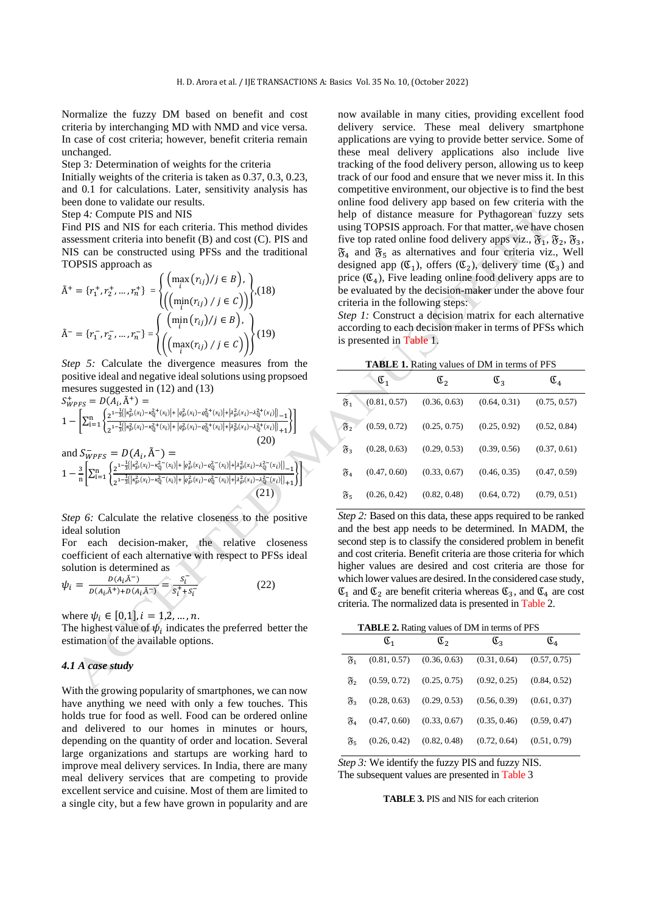Normalize the fuzzy DM based on benefit and cost criteria by interchanging MD with NMD and vice versa. In case of cost criteria; however, benefit criteria remain unchanged.

Step 3*:* Determination of weights for the criteria

Initially weights of the criteria is taken as 0.37, 0.3, 0.23, and 0.1 for calculations. Later, sensitivity analysis has been done to validate our results.

### Step 4*:* Compute PIS and NIS

Find PIS and NIS for each criteria. This method divides assessment criteria into benefit (B) and cost (C). PIS and NIS can be constructed using PFSs and the traditional TOPSIS approach as

$$
\tilde{A}^{+} = \{r_{1}^{+}, r_{2}^{+}, ..., r_{n}^{+}\} = \begin{cases}\n\left(\max_{i} (r_{ij})/j \in B\right), \\
\left(\left(\min_{i} (r_{ij}) / j \in C\right)\right)\n\end{cases}, (18)
$$
\n
$$
\tilde{A}^{-} = \{r_{1}^{-}, r_{2}^{-}, ..., r_{n}^{-}\} = \begin{cases}\n\left(\min_{i} (r_{ij})/j \in B\right), \\
\left(\left(\max_{i} (r_{ij}) / j \in C\right)\right)\n\end{cases}, (19)
$$

*Step 5:* Calculate the divergence measures from the positive ideal and negative ideal solutions using propsoed mesures suggested in (12) and (13)  $C^+$ 

$$
S_{WPFS}^{+} = D(A_i, \tilde{A}^{+}) =
$$
\n
$$
1 - \left[ \sum_{i=1}^{n} \left\{ \frac{2^{1-\frac{1}{3}\left| \left| \kappa_{\wp}^{2}(x_{i}) - \kappa_{Q}^{2+}(x_{i}) \right| + \left| \varrho_{\wp}^{2}(x_{i}) - \varrho_{Q}^{2+}(x_{i}) \right| + \left| \lambda_{\wp}^{2}(x_{i}) - \lambda_{Q}^{2+}(x_{i}) \right| \right| - 1}{2^{1-\frac{1}{3}\left| \left| \kappa_{\wp}^{2}(x_{i}) - \kappa_{Q}^{2+}(x_{i}) \right| + \left| \varrho_{\wp}^{2}(x_{i}) - \varrho_{Q}^{2+}(x_{i}) \right| + \left| \lambda_{\wp}^{2}(x_{i}) - \lambda_{Q}^{2+}(x_{i}) \right| \right| + 1}_{(20)}
$$
\nand 
$$
S_{WPFS}^{-} = D(A_i, \tilde{A}^{-}) =
$$
\n
$$
1 - \frac{3}{n} \left[ \sum_{i=1}^{n} \left\{ \frac{2^{1-\frac{1}{3}\left| \left| \kappa_{\wp}^{2}(x_{i}) - \kappa_{Q}^{2-}(x_{i}) \right| + \left| \varrho_{\wp}^{2}(x_{i}) - \varrho_{Q}^{2-}(x_{i}) \right| + \left| \lambda_{\wp}^{2}(x_{i}) - \lambda_{Q}^{2-}(x_{i}) \right| \right|}_{+ 1}_{(20)}
$$
\n
$$
1 - \frac{3}{n} \left[ \sum_{i=1}^{n} \left\{ \frac{2^{1-\frac{1}{3}\left| \left| \kappa_{\wp}^{2}(x_{i}) - \kappa_{Q}^{2-}(x_{i}) \right| + \left| \varrho_{\wp}^{2}(x_{i}) - \varrho_{Q}^{2-}(x_{i}) \right| + \left| \lambda_{\wp}^{2}(x_{i}) - \lambda_{Q}^{2-}(x_{i}) \right| \right|}_{+ 1}_{(21)}
$$
\n
$$
(21)
$$

*Step 6:* Calculate the relative closeness to the positive ideal solution

For each decision-maker, the relative closeness coefficient of each alternative with respect to PFSs ideal solution is determined as

$$
\psi_i = \frac{D(A_i, \tilde{A}^{-})}{D(A_i, \tilde{A}^{+}) + D(A_i, \tilde{A}^{-})} = \frac{s_i^{-}}{s_i^{+} + s_i^{-}}
$$
(22)

where  $\psi_i \in [0,1], i = 1,2,...,n$ .

The highest value of  $\psi_i$  indicates the preferred better the estimation of the available options.

## *4.1 A case study*

With the growing popularity of smartphones, we can now have anything we need with only a few touches. This holds true for food as well. Food can be ordered online and delivered to our homes in minutes or hours, depending on the quantity of order and location. Several large organizations and startups are working hard to improve meal delivery services. In India, there are many meal delivery services that are competing to provide excellent service and cuisine. Most of them are limited to a single city, but a few have grown in popularity and are

now available in many cities, providing excellent food delivery service. These meal delivery smartphone applications are vying to provide better service. Some of these meal delivery applications also include live tracking of the food delivery person, allowing us to keep track of our food and ensure that we never miss it. In this competitive environment, our objective is to find the best online food delivery app based on few criteria with the help of distance measure for Pythagorean fuzzy sets using TOPSIS approach. For that matter, we have chosen five top rated online food delivery apps viz.,  $\mathfrak{F}_1$ ,  $\mathfrak{F}_2$ ,  $\mathfrak{F}_3$ ,  $\mathfrak{F}_4$  and  $\mathfrak{F}_5$  as alternatives and four criteria viz., Well designed app  $(\mathfrak{C}_1)$ , offers  $(\mathfrak{C}_2)$ , delivery time  $(\mathfrak{C}_3)$  and price  $(\mathfrak{C}_4)$ , Five leading online food delivery apps are to be evaluated by the decision-maker under the above four criteria in the following steps:

*Step 1:* Construct a decision matrix for each alternative according to each decision maker in terms of PFSs which is presented in Table 1.

**TABLE 1.** Rating values of DM in terms of PFS

| $\frac{1}{1000}$ $\frac{1}{1000}$ $\frac{1}{1000}$ $\frac{1}{1000}$ $\frac{1}{1000}$ $\frac{1}{1000}$ |                  |                  |                  |                  |  |  |  |
|-------------------------------------------------------------------------------------------------------|------------------|------------------|------------------|------------------|--|--|--|
|                                                                                                       | $\mathfrak{C}_1$ | $\mathfrak{C}_2$ | $\mathfrak{C}_3$ | $\mathfrak{C}_4$ |  |  |  |
| ซี1                                                                                                   | (0.81, 0.57)     | (0.36, 0.63)     | (0.64, 0.31)     | (0.75, 0.57)     |  |  |  |
| ซิ,                                                                                                   | (0.59, 0.72)     | (0.25, 0.75)     | (0.25, 0.92)     | (0.52, 0.84)     |  |  |  |
| $\mathfrak{F}_3$                                                                                      | (0.28, 0.63)     | (0.29, 0.53)     | (0.39, 0.56)     | (0.37, 0.61)     |  |  |  |
| T4                                                                                                    | (0.47, 0.60)     | (0.33, 0.67)     | (0.46, 0.35)     | (0.47, 0.59)     |  |  |  |
| F5                                                                                                    | (0.26, 0.42)     | (0.82, 0.48)     | (0.64, 0.72)     | (0.79, 0.51)     |  |  |  |

*Step 2:* Based on this data, these apps required to be ranked and the best app needs to be determined. In MADM, the second step is to classify the considered problem in benefit and cost criteria. Benefit criteria are those criteria for which higher values are desired and cost criteria are those for which lower values are desired. In the considered case study,  $\mathfrak{C}_1$  and  $\mathfrak{C}_2$  are benefit criteria whereas  $\mathfrak{C}_3$ , and  $\mathfrak{C}_4$  are cost criteria. The normalized data is presented in Table 2.

 **TABLE 2.** Rating values of DM in terms of PFS

|                  | $\mathfrak{C}_1$ | $\mathfrak{C}_2$              | $\mathfrak{C}_3$ | $\mathfrak{C}_4$ |
|------------------|------------------|-------------------------------|------------------|------------------|
| $\mathfrak{F}_1$ |                  | $(0.81, 0.57)$ $(0.36, 0.63)$ | (0.31, 0.64)     | (0.57, 0.75)     |
| Х,               | (0.59, 0.72)     | (0.25, 0.75)                  | (0.92, 0.25)     | (0.84, 0.52)     |
| ষ্টিয়           | (0.28, 0.63)     | (0.29, 0.53)                  | (0.56, 0.39)     | (0.61, 0.37)     |
| 84               | (0.47, 0.60)     | (0.33, 0.67)                  | (0.35, 0.46)     | (0.59, 0.47)     |
| চি -             | (0.26, 0.42)     | (0.82, 0.48)                  | (0.72, 0.64)     | (0.51, 0.79)     |

*Step 3:* We identify the fuzzy PIS and fuzzy NIS. The subsequent values are presented in Table 3

**TABLE 3.** PIS and NIS for each criterion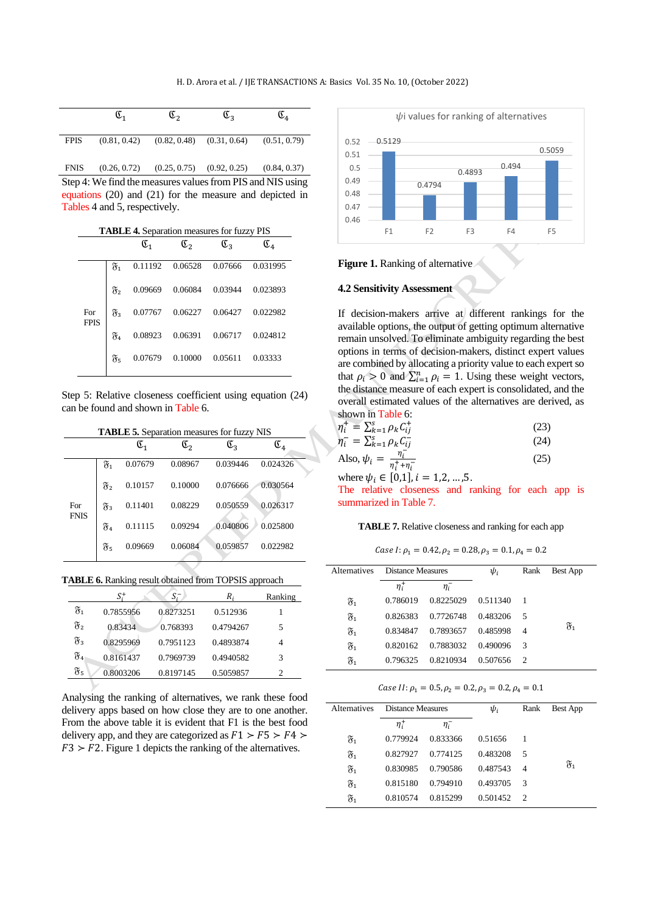|             | Œ1 | $\mathfrak{C}_2$ | $\mathfrak{C}_3$                                            | $\mathfrak{C}_4$ |
|-------------|----|------------------|-------------------------------------------------------------|------------------|
| <b>FPIS</b> |    |                  | $(0.81, 0.42)$ $(0.82, 0.48)$ $(0.31, 0.64)$ $(0.51, 0.79)$ |                  |

FNIS (0.26, 0.72) (0.25, 0.75) (0.92, 0.25) (0.84, 0.37) Step 4: We find the measures values from PIS and NIS using equations (20) and (21) for the measure and depicted in Tables 4 and 5, respectively.

| <b>TABLE 4.</b> Separation measures for fuzzy PIS |
|---------------------------------------------------|
|---------------------------------------------------|

|                    |                  | $\mathfrak{C}_1$ | $\mathfrak{C}_2$ | $\mathfrak{C}_3$ | $\mathfrak{C}_4$ |
|--------------------|------------------|------------------|------------------|------------------|------------------|
|                    | F1               | 0.11192          | 0.06528 0.07666  |                  | 0.031995         |
|                    | $\mathfrak{F}_2$ | 0.09669          | 0.06084          | 0.03944          | 0.023893         |
| For<br><b>FPIS</b> | $\mathfrak{F}_3$ | 0.07767          | 0.06227          | 0.06427          | 0.022982         |
|                    | $\mathfrak{F}_4$ | 0.08923          | 0.06391          | 0.06717          | 0.024812         |
|                    | $\mathfrak{F}_5$ | 0.07679          | 0.10000          | 0.05611          | 0.03333          |

Step 5: Relative closeness coefficient using equation (24) can be found and shown in Table 6.

|  | <b>TABLE 5.</b> Separation measures for fuzzy NIS |  |  |  |
|--|---------------------------------------------------|--|--|--|
|--|---------------------------------------------------|--|--|--|

|                    |                  | $\mathfrak{C}_1$ | $\mathfrak{C}_2$ | $\mathfrak{C}_3$ | $\mathfrak{C}_4$ |
|--------------------|------------------|------------------|------------------|------------------|------------------|
|                    | $\mathfrak{F}_1$ | 0.07679          | 0.08967          | 0.039446         | 0.024326         |
|                    | $\mathfrak{F}_2$ | 0.10157          | 0.10000          | 0.076666         | 0.030564         |
| For<br><b>FNIS</b> | $\mathfrak{F}_3$ | 0.11401          | 0.08229          | 0.050559         | 0.026317         |
|                    | F4               | 0.11115          | 0.09294          | 0.040806         | 0.025800         |
|                    | F5               | 0.09669          | 0.06084          | 0.059857         | 0.022982         |

| TABLE 6. Ranking result obtained from TOPSIS approach |  |
|-------------------------------------------------------|--|
|-------------------------------------------------------|--|

|                    | S.        | $S_i^-$   | R.        | Ranking        |
|--------------------|-----------|-----------|-----------|----------------|
| F1                 | 0.7855956 | 0.8273251 | 0.512936  |                |
| $\mathfrak{F}_2$   | 0.83434   | 0.768393  | 0.4794267 | 5              |
| $\mathfrak{F}_3$   | 0.8295969 | 0.7951123 | 0.4893874 | 4              |
| $\mathfrak{F}_{4}$ | 0.8161437 | 0.7969739 | 0.4940582 | 3              |
| F5                 | 0.8003206 | 0.8197145 | 0.5059857 | $\overline{c}$ |

Analysing the ranking of alternatives, we rank these food delivery apps based on how close they are to one another. From the above table it is evident that F1 is the best food delivery app, and they are categorized as  $F1 > F5 > F4 >$  $F3 > F2$ . Figure 1 depicts the ranking of the alternatives.



#### **Figure 1.** Ranking of alternative

## **4.2 Sensitivity Assessment**

If decision-makers arrive at different rankings for the available options, the output of getting optimum alternative remain unsolved. To eliminate ambiguity regarding the best options in terms of decision-makers, distinct expert values are combined by allocating a priority value to each expert so that  $\rho_i > 0$  and  $\sum_{i=1}^n \rho_i = 1$ . Using these weight vectors, the distance measure of each expert is consolidated, and the overall estimated values of the alternatives are derived, as shown in Table 6:

| $\eta_i^+ = \sum_{k=1}^s \rho_k C_{ij}^+$           | (23) |
|-----------------------------------------------------|------|
| $\eta_i^- = \sum_{k=1}^s \rho_k C_{ij}^-$           | (24) |
| Also, $\psi_i = \frac{\eta_i}{\eta_i^+ + \eta_i^-}$ | (25) |

where  $\psi_i \in [0,1]$ ,  $i = 1,2,...,5$ .

The relative closeness and ranking for each app is summarized in Table 7.

### **TABLE 7.** Relative closeness and ranking for each app

Case I:  $\rho_1 = 0.42$ ,  $\rho_2 = 0.28$ ,  $\rho_3 = 0.1$ ,  $\rho_4 = 0.2$ 

| Alternatives     | Distance Measures |           | $\psi_i$ | Rank | <b>Best App</b>  |
|------------------|-------------------|-----------|----------|------|------------------|
|                  | $n_i^+$           | $\eta_i$  |          |      |                  |
| $\mathfrak{F}_1$ | 0.786019          | 0.8225029 | 0.511340 |      |                  |
| $\mathfrak{F}_1$ | 0.826383          | 0.7726748 | 0.483206 | - 5  |                  |
| $\mathfrak{F}_1$ | 0.834847          | 0.7893657 | 0.485998 | 4    | $\mathfrak{F}_1$ |
| F1               | 0.820162          | 0.7883032 | 0.490096 | 3    |                  |
| F1               | 0.796325          | 0.8210934 | 0.507656 | 2    |                  |

Case II:  $\rho_1 = 0.5, \rho_2 = 0.2, \rho_3 = 0.2, \rho_4 = 0.1$ 

| <b>Alternatives</b> | <b>Distance Measures</b> |            | $\psi_i$ | Rank          | Best App         |
|---------------------|--------------------------|------------|----------|---------------|------------------|
|                     | $n_i^+$                  | $\eta_i^-$ |          |               |                  |
| F1                  | 0.779924                 | 0.833366   | 0.51656  |               |                  |
| $\mathfrak{F}_1$    | 0.827927                 | 0.774125   | 0.483208 | 5             |                  |
| $\mathfrak{F}_1$    | 0.830985                 | 0.790586   | 0.487543 | 4             | $\mathfrak{F}_1$ |
| $\mathfrak{F}_1$    | 0.815180                 | 0.794910   | 0.493705 | 3             |                  |
| $\mathfrak{F}_1$    | 0.810574                 | 0.815299   | 0.501452 | $\mathcal{D}$ |                  |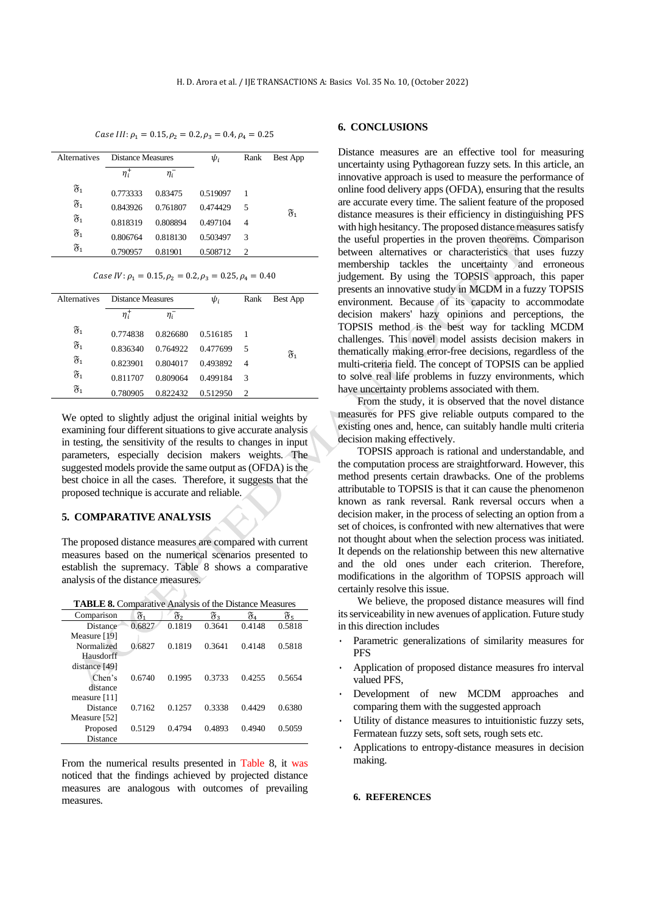## Case III:  $\rho_1 = 0.15, \rho_2 = 0.2, \rho_3 = 0.4, \rho_4 = 0.25$

| <b>Alternatives</b> | Distance Measures |            | $\psi_i$ | Rank | Best App         |
|---------------------|-------------------|------------|----------|------|------------------|
|                     | $\eta_i^+$        | $\eta_i^-$ |          |      |                  |
| $\mathfrak{F}_1$    | 0.773333          | 0.83475    | 0.519097 |      |                  |
| $\mathfrak{F}_1$    | 0.843926          | 0.761807   | 0.474429 | 5    | $\mathfrak{F}_1$ |
| $\mathfrak{F}_1$    | 0.818319          | 0.808894   | 0.497104 | 4    |                  |
| $\mathfrak{F}_1$    | 0.806764          | 0.818130   | 0.503497 | 3    |                  |
| $\mathfrak{F}_1$    | 0.790957          | 0.81901    | 0.508712 | 2    |                  |

#### Case IV:  $\rho_1 = 0.15$ ,  $\rho_2 = 0.2$ ,  $\rho_3 = 0.25$ ,  $\rho_4 = 0.40$

| <b>Alternatives</b> | Distance Measures |            | $\psi_i$ | Rank                          | Best App         |
|---------------------|-------------------|------------|----------|-------------------------------|------------------|
|                     | $\eta_i^+$        | $\eta_i^-$ |          |                               |                  |
| $\mathfrak{F}_1$    | 0.774838          | 0.826680   | 0.516185 |                               |                  |
| $\mathfrak{F}_1$    | 0.836340          | 0.764922   | 0.477699 | -5                            | $\mathfrak{F}_1$ |
| $\mathfrak{F}_1$    | 0.823901          | 0.804017   | 0.493892 | $\overline{4}$                |                  |
| $\mathfrak{F}_1$    | 0.811707          | 0.809064   | 0.499184 | 3                             |                  |
| $\mathfrak{F}_1$    | 0.780905          | 0.822432   | 0.512950 | $\mathfrak{D}_{\mathfrak{p}}$ |                  |
|                     |                   |            |          |                               |                  |

We opted to slightly adjust the original initial weights by examining four different situations to give accurate analysis in testing, the sensitivity of the results to changes in input parameters, especially decision makers weights. The suggested models provide the same output as (OFDA) is the best choice in all the cases. Therefore, it suggests that the proposed technique is accurate and reliable.

# **5. COMPARATIVE ANALYSIS**

The proposed distance measures are compared with current measures based on the numerical scenarios presented to establish the supremacy. Table 8 shows a comparative analysis of the distance measures.

**TABLE 8.** Comparative Analysis of the Distance Measures

| Comparison     | х.     | х,     | F3     | π.     | F5     |
|----------------|--------|--------|--------|--------|--------|
| Distance       | 0.6827 | 0.1819 | 0.3641 | 0.4148 | 0.5818 |
| Measure [19]   |        |        |        |        |        |
| Normalized     | 0.6827 | 0.1819 | 0.3641 | 0.4148 | 0.5818 |
| Hausdorff      |        |        |        |        |        |
| distance [49]  |        |        |        |        |        |
| Chen's         | 0.6740 | 0.1995 | 0.3733 | 0.4255 | 0.5654 |
| distance       |        |        |        |        |        |
| measure $[11]$ |        |        |        |        |        |
| Distance       | 0.7162 | 0.1257 | 0.3338 | 0.4429 | 0.6380 |
| Measure [52]   |        |        |        |        |        |
| Proposed       | 0.5129 | 0.4794 | 0.4893 | 0.4940 | 0.5059 |
| Distance       |        |        |        |        |        |

From the numerical results presented in Table 8, it was noticed that the findings achieved by projected distance measures are analogous with outcomes of prevailing measures.

## **6. CONCLUSIONS**

Distance measures are an effective tool for measuring uncertainty using Pythagorean fuzzy sets. In this article, an innovative approach is used to measure the performance of online food delivery apps (OFDA), ensuring that the results are accurate every time. The salient feature of the proposed distance measures is their efficiency in distinguishing PFS with high hesitancy. The proposed distance measures satisfy the useful properties in the proven theorems. Comparison between alternatives or characteristics that uses fuzzy membership tackles the uncertainty and erroneous judgement. By using the TOPSIS approach, this paper presents an innovative study in MCDM in a fuzzy TOPSIS environment. Because of its capacity to accommodate decision makers' hazy opinions and perceptions, the TOPSIS method is the best way for tackling MCDM challenges. This novel model assists decision makers in thematically making error-free decisions, regardless of the multi-criteria field. The concept of TOPSIS can be applied to solve real life problems in fuzzy environments, which have uncertainty problems associated with them.

From the study, it is observed that the novel distance measures for PFS give reliable outputs compared to the existing ones and, hence, can suitably handle multi criteria decision making effectively.

TOPSIS approach is rational and understandable, and the computation process are straightforward. However, this method presents certain drawbacks. One of the problems attributable to TOPSIS is that it can cause the phenomenon known as rank reversal. Rank reversal occurs when a decision maker, in the process of selecting an option from a set of choices, is confronted with new alternatives that were not thought about when the selection process was initiated. It depends on the relationship between this new alternative and the old ones under each criterion. Therefore, modifications in the algorithm of TOPSIS approach will certainly resolve this issue.

We believe, the proposed distance measures will find its serviceability in new avenues of application. Future study in this direction includes

- Parametric generalizations of similarity measures for **PFS**
- Application of proposed distance measures fro interval valued PFS,
- Development of new MCDM approaches and comparing them with the suggested approach
- Utility of distance measures to intuitionistic fuzzy sets, Fermatean fuzzy sets, soft sets, rough sets etc.
- Applications to entropy-distance measures in decision making.

#### **6. REFERENCES**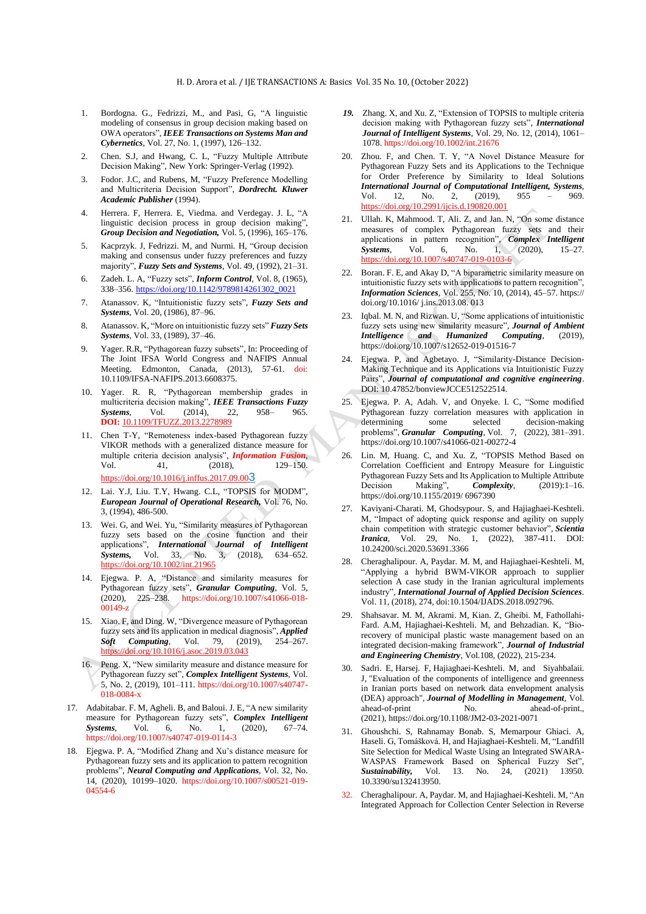- 1. Bordogna. G., Fedrizzi, M., and Pasi, G, "A linguistic modeling of consensus in group decision making based on OWA operators", *IEEE Transactions on Systems Man and Cybernetics*, Vol. 27, No. 1, (1997), 126–132.
- 2. Chen. S.J, and Hwang, C. L, "Fuzzy Multiple Attribute Decision Making", New York: Springer-Verlag (1992).
- 3. Fodor. J.C, and Rubens, M, "Fuzzy Preference Modelling and Multicriteria Decision Support", *Dordrecht. Kluwer Academic Publisher* (1994).
- 4. Herrera. F, Herrera. E, Viedma. and Verdegay. J. L, "A linguistic decision process in group decision making", *Group Decision and Negotiation,* Vol. 5, (1996), 165–176.
- 5. Kacprzyk. J, Fedrizzi. M, and Nurmi. H, "Group decision making and consensus under fuzzy preferences and fuzzy majority", *Fuzzy Sets and Systems*, Vol. 49, (1992), 21–31.
- 6. Zadeh. L. A, "Fuzzy sets", *Inform Control*, Vol. 8, (1965), 338–356. [https://doi.org/10.1142/9789814261302\\_0021](https://doi.org/10.1142/9789814261302_0021)
- 7. Atanassov. K, "Intuitionistic fuzzy sets", *Fuzzy Sets and Systems*, Vol. 20, (1986), 87–96.
- 8. Atanassov. K, "More on intuitionistic fuzzy sets" *Fuzzy Sets Systems*, Vol. 33, (1989), 37–46.
- 9. Yager. R.R, "Pythagorean fuzzy subsets", In: Proceeding of The Joint IFSA World Congress and NAFIPS Annual Meeting. Edmonton, Canada, (2013), 57-61. doi: 10.1109/IFSA-NAFIPS.2013.6608375.
- 10. Yager. R. R, "Pythagorean membership grades in multicriteria decision making", *IEEE Transactions Fuzzy Systems*, Vol. (2014), 22, 958– 965. **DOI:** [10.1109/TFUZZ.2013.2278989](https://doi.org/10.1109/TFUZZ.2013.2278989)
- 11. Chen T-Y, "Remoteness index-based Pythagorean fuzzy VIKOR methods with a generalized distance measure for multiple criteria decision analysis", *Information Fusion*, Vol. 41, (2018), 129-150. [https://doi.org/10.1016/j.inffus.2017.09.00](https://doi.org/10.1016/j.inffus.2017.09.003)[3](https://doi.org/10.1016/j.inffus.2017.09.003)
- 12. Lai. Y.J, Liu. T.Y, Hwang. C.L, "TOPSIS for MODM", *European Journal of Operational Research,* Vol. 76, No. 3, (1994), 486-500.
- 13. Wei. G, and Wei. Yu, "Similarity measures of Pythagorean fuzzy sets based on the cosine function and their applications", *International Journal of Intelligent Systems,* Vol. 33, No. 3, (2018), 634–652. <https://doi.org/10.1002/int.21965>
- 14. Ejegwa. P. A, "Distance and similarity measures for Pythagorean fuzzy sets", *Granular Computing*, Vol. 5, (2020), 225–238. https://doi.org/10.1007/s41066-018- 00149-z
- 15. Xiao. F, and Ding. W, "Divergence measure of Pythagorean fuzzy sets and its application in medical diagnosis", *Applied Soft Computing*, Vol. 79, (2019), 254–267. <https://doi.org/10.1016/j.asoc.2019.03.043>
- 16. Peng. X, "New similarity measure and distance measure for Pythagorean fuzzy set", *Complex Intelligent Systems*, Vol. 5, No. 2, (2019), 101–111. https://doi.org/10.1007/s40747- 018-0084-x
- 17. Adabitabar. F. M, Agheli. B, and Baloui. J. E, "A new similarity measure for Pythagorean fuzzy sets", *Complex Intelligent Systems*, Vol. 6, No. 1, (2020), 67–74. https://doi.org/10.1007/s40747-019-0114-3
- 18. Ejegwa. P. A, "Modified Zhang and Xu's distance measure for Pythagorean fuzzy sets and its application to pattern recognition problems", *Neural Computing and Applications*, Vol. 32, No. 14, (2020), 10199–1020. https://doi.org/10.1007/s00521-019- 04554-6
- *19.* Zhang. X, and Xu. Z, "Extension of TOPSIS to multiple criteria decision making with Pythagorean fuzzy sets", *International Journal of Intelligent Systems*, Vol. 29, No. 12, (2014), 1061– 1078. <https://doi.org/10.1002/int.21676>
- 20. Zhou. F, and Chen. T. Y, "A Novel Distance Measure for Pythagorean Fuzzy Sets and its Applications to the Technique for Order Preference by Similarity to Ideal Solutions *International Journal of Computational Intelligent, Systems*, Vol. 12, No. 2, (2019), 955 – 969. [https://doi.org/10.2991/ijcis.d.190820.001](https://dx.doi.org/10.2991/ijcis.d.190820.001)
- 21. Ullah. K, Mahmood. T, Ali. Z, and Jan. N, "On some distance measures of complex Pythagorean fuzzy sets and their applications in pattern recognition", *Complex Intelligent Systems*, Vol. 6, No. 1, (2020), 15–27. https://doi.org/10.1007/s40747-019-0103-6
- 22. Boran. F. E, and Akay D, "A biparametric similarity measure on intuitionistic fuzzy sets with applications to pattern recognition", *Information Sciences*, Vol. 255, No. 10, (2014), 45–57. https:// doi.org/10.1016/ j.ins.2013.08. 013
- 23. Iqbal. M. N, and Rizwan. U, "Some applications of intuitionistic fuzzy sets using new similarity measure", *Journal of Ambient Intelligence and Humanized Computing*, (2019), <https://doi.org/10.1007/s12652-019-01516-7>
- 24. Ejegwa. P, and Agbetayo. J, "Similarity-Distance Decision-Making Technique and its Applications via Intuitionistic Fuzzy Pairs", *Journal of computational and cognitive engineering*. DOI: 10.47852/bonviewJCCE512522514.
- 25. Ejegwa. P. A, Adah. V, and Onyeke. I. C, "Some modified Pythagorean fuzzy correlation measures with application in determining some selected decision-making problems", *Granular Computing*, Vol. 7, (2022), 381–391. <https://doi.org/10.1007/s41066-021-00272-4>
- 26. Lin. M, Huang. C, and Xu. Z, "TOPSIS Method Based on Correlation Coefficient and Entropy Measure for Linguistic Pythagorean Fuzzy Sets and Its Application to Multiple Attribute Decision Making", *Complexity*, (2019):1-16. https://doi.org/10.1155/2019/ 6967390
- 27. Kaviyani-Charati. M, Ghodsypour. S, and Hajiaghaei-Keshteli. M, "Impact of adopting quick response and agility on supply chain competition with strategic customer behavior", *Scientia Iranica*, Vol. 29, No. 1, (2022), 387-411. DOI: 10.24200/sci.2020.53691.3366
- 28. Cheraghalipour. A, Paydar. M. M, and Hajiaghaei-Keshteli. M, "Applying a hybrid BWM-VIKOR approach to supplier selection A case study in the Iranian agricultural implements industry", *International Journal of Applied Decision Sciences*. Vol. 11, (2018), 274, doi:10.1504/IJADS.2018.092796.
- 29. Shahsavar. M. M, Akrami. M, Kian. Z, Gheibi. M, Fathollahi-Fard. A.M, Hajiaghaei-Keshteli. M, and Behzadian. K, "Biorecovery of municipal plastic waste management based on an integrated decision-making framework", *Journal of Industrial and Engineering Chemistry*, Vol.108, (2022), 215-234.
- 30. [Sadri.](https://www.emerald.com/insight/search?q=Esmaeil%20Sadri) E, [Harsej.](https://www.emerald.com/insight/search?q=Fatemeh%20Harsej) F, [Hajiaghaei-Keshteli.](https://www.emerald.com/insight/search?q=Mostafa%20Hajiaghaei-Keshteli) M, and [Siyahbalaii.](https://www.emerald.com/insight/search?q=Jafar%20Siyahbalaii) [J,](https://www.emerald.com/insight/search?q=Jafar%20Siyahbalaii) "Evaluation of the components of intelligence and greenness in Iranian ports based on network data envelopment analysis (DEA) approach", *[Journal of Modelling in Management](https://www.emerald.com/insight/publication/issn/1746-5664)*, Vol. ahead-of-print No. ahead-of-print., (2021), <https://doi.org/10.1108/JM2-03-2021-0071>
- 31. Ghoushchi. S, Rahnamay Bonab. S, Memarpour Ghiaci. A, Haseli. G, Tomášková. H, and Hajiaghaei-Keshteli. M, "Landfill Site Selection for Medical Waste Using an Integrated SWARA-WASPAS Framework Based on Spherical Fuzzy Set", *Sustainability,* Vol. 13. No. 24, (2021) 13950. 10.3390/su132413950.
- 32. Cheraghalipour. A, Paydar. M, and Hajiaghaei-Keshteli. M, "An Integrated Approach for Collection Center Selection in Reverse